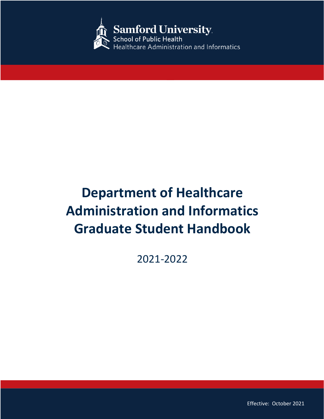

# **Department of Healthcare Administration and Informatics Graduate Student Handbook**

2021-2022

1

Effective: October 2021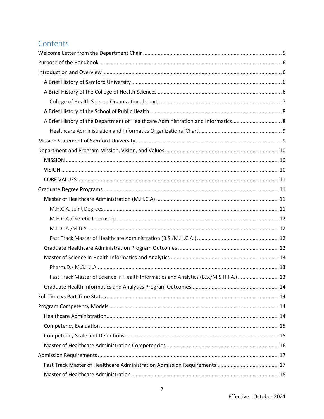# Contents

| A Brief History of the Department of Healthcare Administration and Informatics8       |  |
|---------------------------------------------------------------------------------------|--|
|                                                                                       |  |
|                                                                                       |  |
|                                                                                       |  |
|                                                                                       |  |
|                                                                                       |  |
|                                                                                       |  |
|                                                                                       |  |
|                                                                                       |  |
|                                                                                       |  |
|                                                                                       |  |
|                                                                                       |  |
|                                                                                       |  |
|                                                                                       |  |
|                                                                                       |  |
|                                                                                       |  |
| Fast Track Master of Science in Health Informatics and Analytics (B.S./M.S.H.I.A.) 13 |  |
|                                                                                       |  |
|                                                                                       |  |
|                                                                                       |  |
|                                                                                       |  |
|                                                                                       |  |
|                                                                                       |  |
|                                                                                       |  |
|                                                                                       |  |
|                                                                                       |  |
|                                                                                       |  |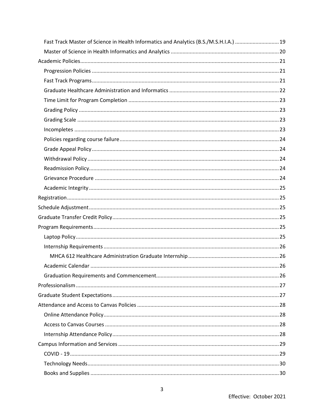| Fast Track Master of Science in Health Informatics and Analytics (B.S./M.S.H.I.A.) 19 |  |
|---------------------------------------------------------------------------------------|--|
|                                                                                       |  |
|                                                                                       |  |
|                                                                                       |  |
|                                                                                       |  |
|                                                                                       |  |
|                                                                                       |  |
|                                                                                       |  |
|                                                                                       |  |
|                                                                                       |  |
|                                                                                       |  |
|                                                                                       |  |
|                                                                                       |  |
|                                                                                       |  |
|                                                                                       |  |
|                                                                                       |  |
|                                                                                       |  |
|                                                                                       |  |
|                                                                                       |  |
|                                                                                       |  |
|                                                                                       |  |
|                                                                                       |  |
|                                                                                       |  |
|                                                                                       |  |
|                                                                                       |  |
|                                                                                       |  |
|                                                                                       |  |
|                                                                                       |  |
|                                                                                       |  |
|                                                                                       |  |
|                                                                                       |  |
|                                                                                       |  |
|                                                                                       |  |
|                                                                                       |  |
|                                                                                       |  |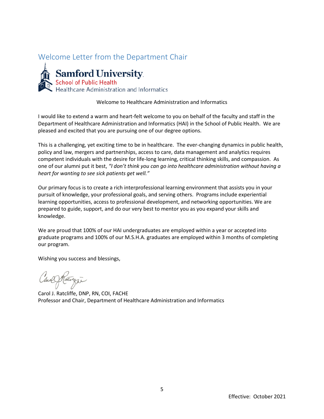# <span id="page-4-0"></span>Welcome Letter from the Department Chair



**Samford University**<br>
School of Public Health<br>
Healthcare Administration and Informatics

Welcome to Healthcare Administration and Informatics

I would like to extend a warm and heart-felt welcome to you on behalf of the faculty and staff in the Department of Healthcare Administration and Informatics (HAI) in the School of Public Health. We are pleased and excited that you are pursuing one of our degree options.

This is a challenging, yet exciting time to be in healthcare. The ever-changing dynamics in public health, policy and law, mergers and partnerships, access to care, data management and analytics requires competent individuals with the desire for life-long learning, critical thinking skills, and compassion. As one of our alumni put it best, *"I don't think you can go into healthcare administration without having a heart for wanting to see sick patients get well."*

Our primary focus is to create a rich interprofessional learning environment that assists you in your pursuit of knowledge, your professional goals, and serving others. Programs include experiential learning opportunities, access to professional development, and networking opportunities. We are prepared to guide, support, and do our very best to mentor you as you expand your skills and knowledge.

We are proud that 100% of our HAI undergraduates are employed within a year or accepted into graduate programs and 100% of our M.S.H.A. graduates are employed within 3 months of completing our program.

Wishing you success and blessings,

Can Rawgie

Carol J. Ratcliffe, DNP, RN, COI, FACHE Professor and Chair, Department of Healthcare Administration and Informatics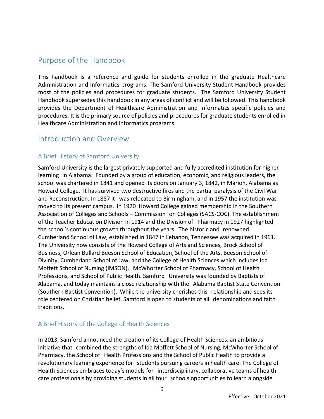# <span id="page-5-0"></span>Purpose of the Handbook

This handbook is a reference and guide for students enrolled in the graduate Healthcare Administration and Informatics programs. The Samford University Student Handbook provides most of the policies and procedures for graduate students. The Samford University Student Handbook supersedes this handbook in any areas of conflict and will be followed. This handbook provides the Department of Healthcare Administration and Informatics specific policies and procedures. It is the primary source of policies and procedures for graduate students enrolled in Healthcare Administration and Informatics programs.

# <span id="page-5-1"></span>Introduction and Overview

# <span id="page-5-2"></span>A Brief History of Samford University

Samford University is the largest privately supported and fully accredited institution for higher learning in Alabama. Founded by a group of education, economic, and religious leaders, the school was chartered in 1841 and opened its doors on January 3, 1842, in Marion, Alabama as Howard College. It has survived two destructive fires and the partial paralysis of the Civil War and Reconstruction. In 1887 it was relocated to Birmingham, and in 1957 the institution was moved to its present campus. In 1920 Howard College gained membership in the Southern Association of Colleges and Schools – Commission on Colleges (SACS-COC). The establishment of the Teacher Education Division in 1914 and the Division of Pharmacy in 1927 highlighted the school's continuous growth throughout the years. The historic and renowned Cumberland School of Law, established in 1847 in Lebanon, Tennessee was acquired in 1961. The University now consists of the Howard College of Arts and Sciences, Brock School of Business, Orlean Bullard Beeson School of Education, School of the Arts, Beeson School of Divinity, Cumberland School of Law, and the College of Health Sciences which includes Ida Moffett School of Nursing (IMSON), McWhorter School of Pharmacy, School of Health Professions, and School of Public Health. Samford University was founded by Baptists of Alabama, and today maintains a close relationship with the Alabama Baptist State Convention (Southern Baptist Convention). While the university cherishes this relationship and sees its role centered on Christian belief, Samford is open to students of all denominations and faith traditions.

# <span id="page-5-3"></span>A Brief History of the College of Health Sciences

In 2013, Samford announced the creation of its College of Health Sciences, an ambitious initiative that combined the strengths of Ida Moffett School of Nursing, McWhorter School of Pharmacy, the School of Health Professions and the School of Public Health to provide a revolutionary learning experience for students pursuing careers in health care. The College of Health Sciences embraces today's models for interdisciplinary, collaborative teams of health care professionals by providing students in all four schools opportunities to learn alongside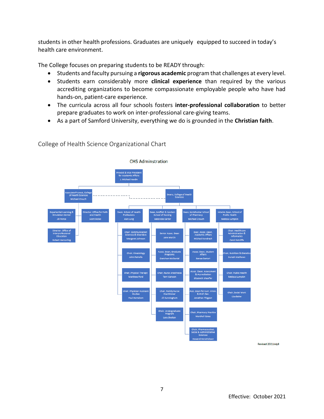students in other health professions. Graduates are uniquely equipped to succeed in today's health care environment.

The College focuses on preparing students to be READY through:

- Students and faculty pursuing a **rigorous academic** program that challenges at every level.
- Students earn considerably more **clinical experience** than required by the various accrediting organizations to become compassionate employable people who have had hands-on, patient-care experience.
- The curricula across all four schools fosters **inter-professional collaboration** to better prepare graduates to work on inter-professional care-giving teams.
- As a part of Samford University, everything we do is grounded in the **Christian faith**.



<span id="page-6-0"></span>College of Health Science Organizational Chart

Revised 2021July8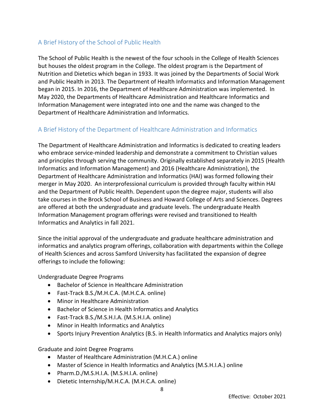# <span id="page-7-0"></span>A Brief History of the School of Public Health

The School of Public Health is the newest of the four schools in the College of Health Sciences but houses the oldest program in the College. The oldest program is the Department of Nutrition and Dietetics which began in 1933. It was joined by the Departments of Social Work and Public Health in 2013. The Department of Health Informatics and Information Management began in 2015. In 2016, the Department of Healthcare Administration was implemented. In May 2020, the Departments of Healthcare Administration and Healthcare Informatics and Information Management were integrated into one and the name was changed to the Department of Healthcare Administration and Informatics.

# <span id="page-7-1"></span>A Brief History of the Department of Healthcare Administration and Informatics

The Department of Healthcare Administration and Informatics is dedicated to creating leaders who embrace service-minded leadership and demonstrate a commitment to Christian values and principles through serving the community. Originally established separately in 2015 (Health Informatics and Information Management) and 2016 (Healthcare Administration), the Department of Healthcare Administration and Informatics (HAI) was formed following their merger in May 2020. An interprofessional curriculum is provided through faculty within HAI and the Department of Public Health. Dependent upon the degree major, students will also take courses in the Brock School of Business and Howard College of Arts and Sciences. Degrees are offered at both the undergraduate and graduate levels. The undergraduate Health Information Management program offerings were revised and transitioned to Health Informatics and Analytics in fall 2021.

Since the initial approval of the undergraduate and graduate healthcare administration and informatics and analytics program offerings, collaboration with departments within the College of Health Sciences and across Samford University has facilitated the expansion of degree offerings to include the following:

Undergraduate Degree Programs

- Bachelor of Science in Healthcare Administration
- Fast-Track B.S./M.H.C.A. (M.H.C.A. online)
- Minor in Healthcare Administration
- Bachelor of Science in Health Informatics and Analytics
- Fast-Track B.S./M.S.H.I.A. (M.S.H.I.A. online)
- Minor in Health Informatics and Analytics
- Sports Injury Prevention Analytics (B.S. in Health Informatics and Analytics majors only)

Graduate and Joint Degree Programs

- Master of Healthcare Administration (M.H.C.A.) online
- Master of Science in Health Informatics and Analytics (M.S.H.I.A.) online
- Pharm.D./M.S.H.I.A. (M.S.H.I.A. online)
- Dietetic Internship/M.H.C.A. (M.H.C.A. online)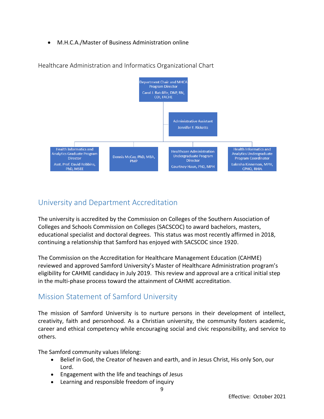• M.H.C.A./Master of Business Administration online



<span id="page-8-0"></span>Healthcare Administration and Informatics Organizational Chart

# University and Department Accreditation

The university is accredited by the Commission on Colleges of the Southern Association of Colleges and Schools Commission on Colleges (SACSCOC) to award bachelors, masters, educational specialist and doctoral degrees. This status was most recently affirmed in 2018, continuing a relationship that Samford has enjoyed with SACSCOC since 1920.

The Commission on the Accreditation for Healthcare Management Education (CAHME) reviewed and approved Samford University's Master of Healthcare Administration program's eligibility for CAHME candidacy in July 2019. This review and approval are a critical initial step in the multi-phase process toward the attainment of CAHME accreditation.

# <span id="page-8-1"></span>Mission Statement of Samford University

The mission of Samford University is to nurture persons in their development of intellect, creativity, faith and personhood. As a Christian university, the community fosters academic, career and ethical competency while encouraging social and civic responsibility, and service to others.

The Samford community values lifelong:

- Belief in God, the Creator of heaven and earth, and in Jesus Christ, His only Son, our Lord.
- Engagement with the life and teachings of Jesus
- Learning and responsible freedom of inquiry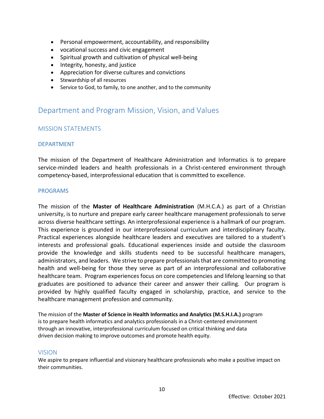- Personal empowerment, accountability, and responsibility
- vocational success and civic engagement
- Spiritual growth and cultivation of physical well-being
- Integrity, honesty, and justice
- Appreciation for diverse cultures and convictions
- Stewardship of all resources
- Service to God, to family, to one another, and to the community

# <span id="page-9-0"></span>Department and Program Mission, Vision, and Values

# <span id="page-9-1"></span>MISSION STATEMENTS

#### DEPARTMENT

The mission of the Department of Healthcare Administration and Informatics is to prepare service-minded leaders and health professionals in a Christ-centered environment through competency-based, interprofessional education that is committed to excellence.

#### PROGRAMS

The mission of the **Master of Healthcare Administration** (M.H.C.A.) as part of a Christian university, is to nurture and prepare early career healthcare management professionals to serve across diverse healthcare settings. An interprofessional experience is a hallmark of our program. This experience is grounded in our interprofessional curriculum and interdisciplinary faculty. Practical experiences alongside healthcare leaders and executives are tailored to a student's interests and professional goals. Educational experiences inside and outside the classroom provide the knowledge and skills students need to be successful healthcare managers, administrators, and leaders. We strive to prepare professionals that are committed to promoting health and well-being for those they serve as part of an interprofessional and collaborative healthcare team. Program experiences focus on core competencies and lifelong learning so that graduates are positioned to advance their career and answer their calling. Our program is provided by highly qualified faculty engaged in scholarship, practice, and service to the healthcare management profession and community.

The mission of the **Master of Science in Health Informatics and Analytics (M.S.H.I.A.)** program is to prepare health informatics and analytics professionals in a Christ-centered environment through an innovative, interprofessional curriculum focused on critical thinking and data driven decision making to improve outcomes and promote health equity.

#### <span id="page-9-2"></span>VISION

We aspire to prepare influential and visionary healthcare professionals who make a positive impact on their communities.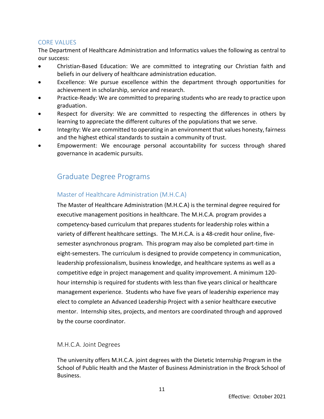# <span id="page-10-0"></span>CORE VALUES

The Department of Healthcare Administration and Informatics values the following as central to our success:

- Christian-Based Education: We are committed to integrating our Christian faith and beliefs in our delivery of healthcare administration education.
- Excellence: We pursue excellence within the department through opportunities for achievement in scholarship, service and research.
- Practice-Ready: We are committed to preparing students who are ready to practice upon graduation.
- Respect for diversity: We are committed to respecting the differences in others by learning to appreciate the different cultures of the populations that we serve.
- Integrity: We are committed to operating in an environment that values honesty, fairness and the highest ethical standards to sustain a community of trust.
- Empowerment: We encourage personal accountability for success through shared governance in academic pursuits.

# <span id="page-10-1"></span>Graduate Degree Programs

# <span id="page-10-2"></span>Master of Healthcare Administration (M.H.C.A)

The Master of Healthcare Administration (M.H.C.A) is the terminal degree required for executive management positions in healthcare. The M.H.C.A. program provides a competency-based curriculum that prepares students for leadership roles within a variety of different healthcare settings. The M.H.C.A. is a 48-credit hour online, fivesemester asynchronous program. This program may also be completed part-time in eight-semesters. The curriculum is designed to provide competency in communication, leadership professionalism, business knowledge, and healthcare systems as well as a competitive edge in project management and quality improvement. A minimum 120 hour internship is required for students with less than five years clinical or healthcare management experience. Students who have five years of leadership experience may elect to complete an Advanced Leadership Project with a senior healthcare executive mentor. Internship sites, projects, and mentors are coordinated through and approved by the course coordinator.

# <span id="page-10-3"></span>M.H.C.A. Joint Degrees

The university offers M.H.C.A. joint degrees with the Dietetic Internship Program in the School of Public Health and the Master of Business Administration in the Brock School of Business.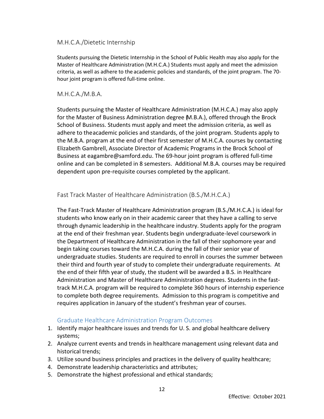# <span id="page-11-0"></span>M.H.C.A./Dietetic Internship

Students pursuing the Dietetic Internship in the School of Public Health may also apply for the Master of Healthcare Administration (M.H.C.A.) Students must apply and meet the admission criteria, as well as adhere to the academic policies and standards, of the joint program. The 70 hour joint program is offered full-time online.

# <span id="page-11-1"></span>M.H.C.A./M.B.A.

Students pursuing the Master of Healthcare Administration (M.H.C.A.) may also apply for the Master of Business Administration degree (M.B.A.), offered through the Brock School of Business. Students must apply and meet the admission criteria, as well as adhere to theacademic policies and standards, of the joint program. Students apply to the M.B.A. program at the end of their first semester of M.H.C.A. courses by contacting Elizabeth Gambrell, Associate Director of Academic Programs in the Brock School of Business at eagambre@samford.edu. The 69-hour joint program is offered full-time online and can be completed in 8 semesters. Additional M.B.A. courses may be required dependent upon pre-requisite courses completed by the applicant.

# <span id="page-11-2"></span>Fast Track Master of Healthcare Administration (B.S./M.H.C.A.)

The Fast-Track Master of Healthcare Administration program (B.S./M.H.C.A.) is ideal for students who know early on in their academic career that they have a calling to serve through dynamic leadership in the healthcare industry. Students apply for the program at the end of their freshman year. Students begin undergraduate-level coursework in the Department of Healthcare Administration in the fall of their sophomore year and begin taking courses toward the M.H.C.A. during the fall of their senior year of undergraduate studies. Students are required to enroll in courses the summer between their third and fourth year of study to complete their undergraduate requirements. At the end of their fifth year of study, the student will be awarded a B.S. in Healthcare Administration and Master of Healthcare Administration degrees. Students in the fasttrack M.H.C.A. program will be required to complete 360 hours of internship experience to complete both degree requirements. Admission to this program is competitive and requires application in January of the student's freshman year of courses.

# <span id="page-11-3"></span>Graduate Healthcare Administration Program Outcomes

- 1. Identify major healthcare issues and trends for U. S. and global healthcare delivery systems;
- 2. Analyze current events and trends in healthcare management using relevant data and historical trends;
- 3. Utilize sound business principles and practices in the delivery of quality healthcare;
- 4. Demonstrate leadership characteristics and attributes;
- 5. Demonstrate the highest professional and ethical standards;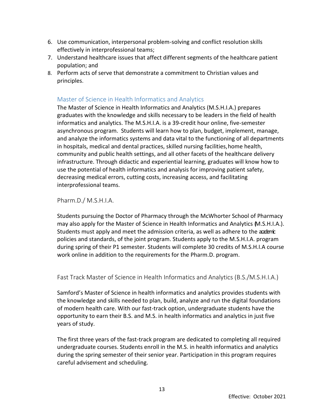- 6. Use communication, interpersonal problem-solving and conflict resolution skills effectively in interprofessional teams;
- 7. Understand healthcare issues that affect different segments of the healthcare patient population; and
- 8. Perform acts of serve that demonstrate a commitment to Christian values and principles.

# <span id="page-12-0"></span>Master of Science in Health Informatics and Analytics

The Master of Science in Health Informatics and Analytics (M.S.H.I.A.) prepares graduates with the knowledge and skills necessary to be leaders in the field of health informatics and analytics. The M.S.H.I.A. is a 39-credit hour online, five-semester asynchronous program. Students will learn how to plan, budget, implement, manage, and analyze the informatics systems and data vital to the functioning of all departments in hospitals, medical and dental practices, skilled nursing facilities,home health, community and public health settings, and all other facets of the healthcare delivery infrastructure. Through didactic and experiential learning, graduates will know how to use the potential of health informatics and analysis for improving patient safety, decreasing medical errors, cutting costs, increasing access, and facilitating interprofessional teams.

<span id="page-12-1"></span>Pharm.D./ M.S.H.I.A.

Students pursuing the Doctor of Pharmacy through the McWhorter School of Pharmacy may also apply for the Master of Science in Health Informatics and Analytics (M.S.H.I.A.). Students must apply and meet the admission criteria, as well as adhere to the academic policies and standards, of the joint program. Students apply to the M.S.H.I.A. program during spring of their P1 semester. Students will complete 30 credits of M.S.H.I.A course work online in addition to the requirements for the Pharm.D. program.

<span id="page-12-2"></span>Fast Track Master of Science in Health Informatics and Analytics (B.S./M.S.H.I.A.)

Samford's Master of Science in health informatics and analytics provides students with the knowledge and skills needed to plan, build, analyze and run the digital foundations of modern health care. With our fast-track option, undergraduate students have the opportunity to earn their B.S. and M.S. in health informatics and analytics in just five years of study.

The first three years of the fast-track program are dedicated to completing all required undergraduate courses. Students enroll in the M.S. in health informatics and analytics during the spring semester of their senior year. Participation in this program requires careful advisement and scheduling.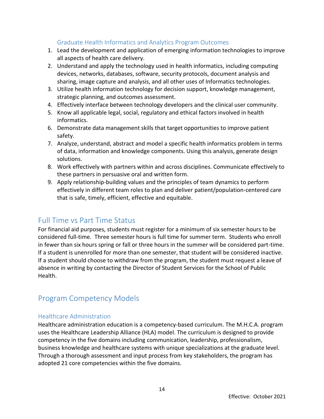# <span id="page-13-0"></span>Graduate Health Informatics and Analytics Program Outcomes

- 1. Lead the development and application of emerging information technologies to improve all aspects of health care delivery.
- 2. Understand and apply the technology used in health informatics, including computing devices, networks, databases, software, security protocols, document analysis and sharing, image capture and analysis, and all other uses of Informatics technologies.
- 3. Utilize health information technology for decision support, knowledge management, strategic planning, and outcomes assessment.
- 4. Effectively interface between technology developers and the clinical user community.
- 5. Know all applicable legal, social, regulatory and ethical factors involved in health informatics.
- 6. Demonstrate data management skills that target opportunities to improve patient safety.
- 7. Analyze, understand, abstract and model a specific health informatics problem in terms of data, information and knowledge components. Using this analysis, generate design solutions.
- 8. Work effectively with partners within and across disciplines. Communicate effectively to these partners in persuasive oral and written form.
- 9. Apply relationship-building values and the principles of team dynamics to perform effectively in different team roles to plan and deliver patient/population-centered care that is safe, timely, efficient, effective and equitable.

# <span id="page-13-1"></span>Full Time vs Part Time Status

For financial aid purposes, students must register for a minimum of six semester hours to be considered full-time. Three semester hours is full time for summer term. Students who enroll in fewer than six hours spring or fall or three hours in the summer will be considered part-time. If a student is unenrolled for more than one semester, that student will be considered inactive. If a student should choose to withdraw from the program, the student must request a leave of absence in writing by contacting the Director of Student Services for the School of Public Health.

# <span id="page-13-2"></span>Program Competency Models

# <span id="page-13-3"></span>Healthcare Administration

Healthcare administration education is a competency-based curriculum. The M.H.C.A. program uses the Healthcare Leadership Alliance (HLA) model. The curriculum is designed to provide competency in the five domains including communication, leadership, professionalism, business knowledge and healthcare systems with unique specializations at the graduate level. Through a thorough assessment and input process from key stakeholders, the program has adopted 21 core competencies within the five domains.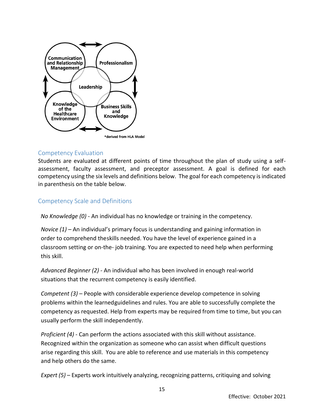

# <span id="page-14-0"></span>Competency Evaluation

Students are evaluated at different points of time throughout the plan of study using a selfassessment, faculty assessment, and preceptor assessment. A goal is defined for each competency using the six levels and definitions below. The goal for each competency is indicated in parenthesis on the table below.

# <span id="page-14-1"></span>Competency Scale and Definitions

*No Knowledge (0)* - An individual has no knowledge or training in the competency.

*Novice (1) –* An individual's primary focus is understanding and gaining information in order to comprehend theskills needed. You have the level of experience gained in a classroom setting or on-the- job training. You are expected to need help when performing this skill.

*Advanced Beginner (2)* - An individual who has been involved in enough real-world situations that the recurrent competency is easily identified.

*Competent (3)* – People with considerable experience develop competence in solving problems within the learnedguidelines and rules. You are able to successfully complete the competency as requested. Help from experts may be required from time to time, but you can usually perform the skill independently.

*Proficient (4)* - Can perform the actions associated with this skill without assistance. Recognized within the organization as someone who can assist when difficult questions arise regarding this skill. You are able to reference and use materials in this competency and help others do the same.

*Expert (5)* – Experts work intuitively analyzing, recognizing patterns, critiquing and solving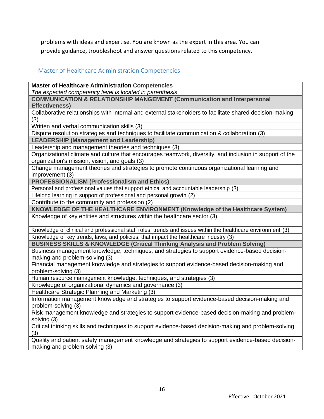problems with ideas and expertise. You are known as the expert in this area. You can provide guidance, troubleshoot and answer questions related to this competency.

# <span id="page-15-0"></span>Master of Healthcare Administration Competencies

making and problem solving (3)

**Master of Healthcare Administration Competencies** *The expected competency level is located in parenthesis.* **COMMUNICATION & RELATIONSHIP MANGEMENT (Communication and Interpersonal Effectiveness)** Collaborative relationships with internal and external stakeholders to facilitate shared decision-making (3) Written and verbal communication skills (3) Dispute resolution strategies and techniques to facilitate communication & collaboration (3) **LEADERSHIP (Management and Leadership)** Leadership and management theories and techniques (3) Organizational climate and culture that encourages teamwork, diversity, and inclusion in support of the organization's mission, vision, and goals (3) Change management theories and strategies to promote continuous organizational learning and improvement (3) **PROFESSIONALISM (Professionalism and Ethics)** Personal and professional values that support ethical and accountable leadership (3) Lifelong learning in support of professional and personal growth (2) Contribute to the community and profession (2) **KNOWLEDGE OF THE HEALTHCARE ENVIRONMENT (Knowledge of the Healthcare System)** Knowledge of key entities and structures within the healthcare sector (3) Knowledge of clinical and professional staff roles, trends and issues within the healthcare environment (3) Knowledge of key trends, laws, and policies, that impact the healthcare industry (3) **BUSINESS SKILLS & KNOWLEDGE (Critical Thinking Analysis and Problem Solving)** Business management knowledge, techniques, and strategies to support evidence-based decisionmaking and problem-solving (3) Financial management knowledge and strategies to support evidence-based decision-making and problem-solving (3) Human resource management knowledge, techniques, and strategies (3) Knowledge of organizational dynamics and governance (3) Healthcare Strategic Planning and Marketing (3) Information management knowledge and strategies to support evidence-based decision-making and problem-solving (3) Risk management knowledge and strategies to support evidence-based decision-making and problemsolving (3) Critical thinking skills and techniques to support evidence-based decision-making and problem-solving (3) Quality and patient safety management knowledge and strategies to support evidence-based decision-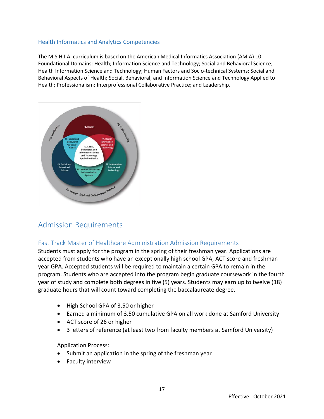# Health Informatics and Analytics Competencies

The M.S.H.I.A. curriculum is based on the American Medical Informatics Association (AMIA) 10 Foundational Domains: Health; Information Science and Technology; Social and Behavioral Science; Health Information Science and Technology; Human Factors and Socio-technical Systems; Social and Behavioral Aspects of Health; Social, Behavioral, and Information Science and Technology Applied to Health; Professionalism; Interprofessional Collaborative Practice; and Leadership.



# <span id="page-16-0"></span>Admission Requirements

# <span id="page-16-1"></span>Fast Track Master of Healthcare Administration Admission Requirements

Students must apply for the program in the spring of their freshman year. Applications are accepted from students who have an exceptionally high school GPA, ACT score and freshman year GPA. Accepted students will be required to maintain a certain GPA to remain in the program. Students who are accepted into the program begin graduate coursework in the fourth year of study and complete both degrees in five (5) years. Students may earn up to twelve (18) graduate hours that will count toward completing the baccalaureate degree.

- High School GPA of 3.50 or higher
- Earned a minimum of 3.50 cumulative GPA on all work done at Samford University
- ACT score of 26 or higher
- 3 letters of reference (at least two from faculty members at Samford University)

Application Process:

- Submit an application in the spring of the freshman year
- Faculty interview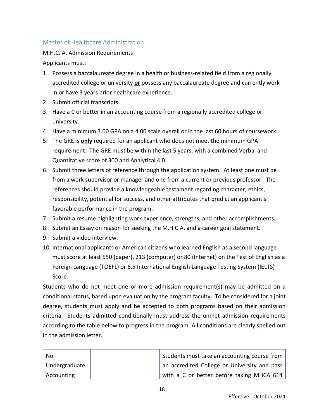# <span id="page-17-0"></span>Master of Healthcare Administration

M.H.C. A. Admission Requirements

Applicants must:

- 1. Possess a baccalaureate degree in a health or business-related field from a regionally accredited college or university **or** possess any baccalaureate degree and currently work in or have 3 years prior healthcare experience.
- 2. Submit official transcripts.
- 3. Have a C or better in an accounting course from a regionally accredited college or university.
- 4. Have a minimum 3.00 GPA on a 4.00 scale overall or in the last 60 hours of coursework.
- 5. The GRE is **only** required for an applicant who does not meet the minimum GPA requirement. The GRE must be within the last 5 years, with a combined Verbal and Quantitative score of 300 and Analytical 4.0.
- 6. Submit three letters of reference through the application system. At least one must be from a work supervisor or manager and one from a current or previous professor. The references should provide a knowledgeable testament regarding character, ethics, responsibility, potential for success, and other attributes that predict an applicant's favorable performance in the program.
- 7. Submit a resume highlighting work experience, strengths, and other accomplishments.
- 8. Submit an Essay on reason for seeking the M.H.C.A. and a career goal statement.
- 9. Submit a video interview.
- 10. International applicants or American citizens who learned English as a second language must score at least 550 (paper), 213 (computer) or 80 (Internet) on the Test of English as a Foreign Language (TOEFL) or 6.5 International English Language Testing System (IELTS) Score.

Students who do not meet one or more admission requirement(s) may be admitted on a conditional status, based upon evaluation by the program faculty. To be considered for a joint degree, students must apply and be accepted to both programs based on their admission criteria. Students admitted conditionally must address the unmet admission requirements according to the table below to progress in the program. All conditions are clearly spelled out in the admission letter.

| No            | Students must take an accounting course from |
|---------------|----------------------------------------------|
| Undergraduate | an accredited College or University and pass |
| Accounting    | with a C or better before taking MHCA 614    |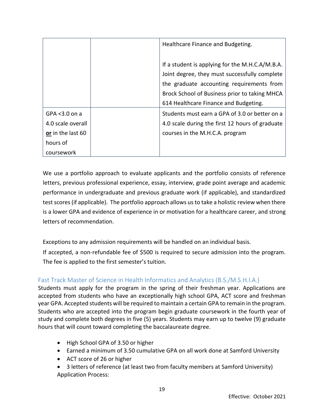|                   | Healthcare Finance and Budgeting.               |  |
|-------------------|-------------------------------------------------|--|
|                   |                                                 |  |
|                   | If a student is applying for the M.H.C.A/M.B.A. |  |
|                   | Joint degree, they must successfully complete   |  |
|                   | the graduate accounting requirements from       |  |
|                   | Brock School of Business prior to taking MHCA   |  |
|                   | 614 Healthcare Finance and Budgeting.           |  |
| GPA $<$ 3.0 on a  | Students must earn a GPA of 3.0 or better on a  |  |
| 4.0 scale overall | 4.0 scale during the first 12 hours of graduate |  |
| or in the last 60 | courses in the M.H.C.A. program                 |  |
| hours of          |                                                 |  |
| coursework        |                                                 |  |

We use a portfolio approach to evaluate applicants and the portfolio consists of reference letters, previous professional experience, essay, interview, grade point average and academic performance in undergraduate and previous graduate work (if applicable), and standardized test scores (if applicable). The portfolio approach allows us to take a holistic review when there is a lower GPA and evidence of experience in or motivation for a healthcare career, and strong letters of recommendation.

Exceptions to any admission requirements will be handled on an individual basis.

If accepted, a non-refundable fee of \$500 is required to secure admission into the program. The fee is applied to the first semester's tuition.

# <span id="page-18-0"></span>Fast Track Master of Science in Health Informatics and Analytics (B.S./M.S.H.I.A.)

Students must apply for the program in the spring of their freshman year. Applications are accepted from students who have an exceptionally high school GPA, ACT score and freshman year GPA. Accepted students will be required to maintain a certain GPA to remain in the program. Students who are accepted into the program begin graduate coursework in the fourth year of study and complete both degrees in five (5) years. Students may earn up to twelve (9) graduate hours that will count toward completing the baccalaureate degree.

- High School GPA of 3.50 or higher
- Earned a minimum of 3.50 cumulative GPA on all work done at Samford University
- ACT score of 26 or higher
- 3 letters of reference (at least two from faculty members at Samford University) Application Process: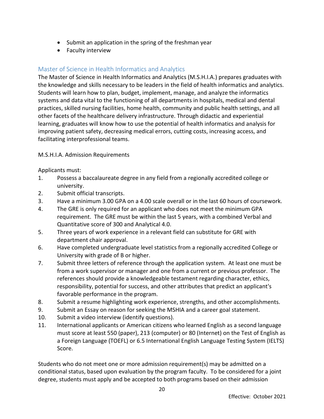- Submit an application in the spring of the freshman year
- Faculty interview

# <span id="page-19-0"></span>Master of Science in Health Informatics and Analytics

The Master of Science in Health Informatics and Analytics (M.S.H.I.A.) prepares graduates with the knowledge and skills necessary to be leaders in the field of health informatics and analytics. Students will learn how to plan, budget, implement, manage, and analyze the informatics systems and data vital to the functioning of all departments in hospitals, medical and dental practices, skilled nursing facilities, home health, community and public health settings, and all other facets of the healthcare delivery infrastructure. Through didactic and experiential learning, graduates will know how to use the potential of health informatics and analysis for improving patient safety, decreasing medical errors, cutting costs, increasing access, and facilitating interprofessional teams.

# M.S.H.I.A. Admission Requirements

Applicants must:

- 1. Possess a baccalaureate degree in any field from a regionally accredited college or university.
- 2. Submit official transcripts.
- 3. Have a minimum 3.00 GPA on a 4.00 scale overall or in the last 60 hours of coursework.
- 4. The GRE is only required for an applicant who does not meet the minimum GPA requirement. The GRE must be within the last 5 years, with a combined Verbal and Quantitative score of 300 and Analytical 4.0.
- 5. Three years of work experience in a relevant field can substitute for GRE with department chair approval.
- 6. Have completed undergraduate level statistics from a regionally accredited College or University with grade of B or higher.
- 7. Submit three letters of reference through the application system. At least one must be from a work supervisor or manager and one from a current or previous professor. The references should provide a knowledgeable testament regarding character, ethics, responsibility, potential for success, and other attributes that predict an applicant's favorable performance in the program.
- 8. Submit a resume highlighting work experience, strengths, and other accomplishments.
- 9. Submit an Essay on reason for seeking the MSHIA and a career goal statement.
- 10. Submit a video interview (identify questions).
- 11. International applicants or American citizens who learned English as a second language must score at least 550 (paper), 213 (computer) or 80 (Internet) on the Test of English as a Foreign Language (TOEFL) or 6.5 International English Language Testing System (IELTS) Score.

Students who do not meet one or more admission requirement(s) may be admitted on a conditional status, based upon evaluation by the program faculty. To be considered for a joint degree, students must apply and be accepted to both programs based on their admission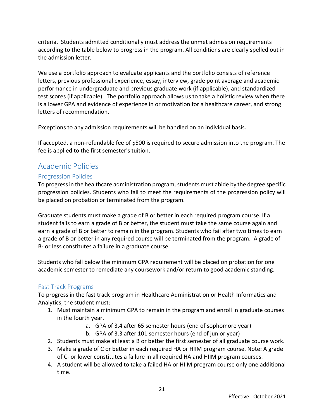criteria. Students admitted conditionally must address the unmet admission requirements according to the table below to progress in the program. All conditions are clearly spelled out in the admission letter.

We use a portfolio approach to evaluate applicants and the portfolio consists of reference letters, previous professional experience, essay, interview, grade point average and academic performance in undergraduate and previous graduate work (if applicable), and standardized test scores (if applicable). The portfolio approach allows us to take a holistic review when there is a lower GPA and evidence of experience in or motivation for a healthcare career, and strong letters of recommendation.

Exceptions to any admission requirements will be handled on an individual basis.

If accepted, a non-refundable fee of \$500 is required to secure admission into the program. The fee is applied to the first semester's tuition.

# <span id="page-20-0"></span>Academic Policies

# <span id="page-20-1"></span>Progression Policies

To progress in the healthcare administration program, students must abide by the degree specific progression policies. Students who fail to meet the requirements of the progression policy will be placed on probation or terminated from the program.

Graduate students must make a grade of B or better in each required program course. If a student fails to earn a grade of B or better, the student must take the same course again and earn a grade of B or better to remain in the program. Students who fail after two times to earn a grade of B or better in any required course will be terminated from the program. A grade of B- or less constitutes a failure in a graduate course.

Students who fall below the minimum GPA requirement will be placed on probation for one academic semester to remediate any coursework and/or return to good academic standing.

# <span id="page-20-2"></span>Fast Track Programs

To progress in the fast track program in Healthcare Administration or Health Informatics and Analytics, the student must:

- 1. Must maintain a minimum GPA to remain in the program and enroll in graduate courses in the fourth year.
	- a. GPA of 3.4 after 65 semester hours (end of sophomore year)
	- b. GPA of 3.3 after 101 semester hours (end of junior year)
- 2. Students must make at least a B or better the first semester of all graduate course work.
- 3. Make a grade of C or better in each required HA or HIIM program course. Note: A grade of C- or lower constitutes a failure in all required HA and HIIM program courses.
- 4. A student will be allowed to take a failed HA or HIIM program course only one additional time.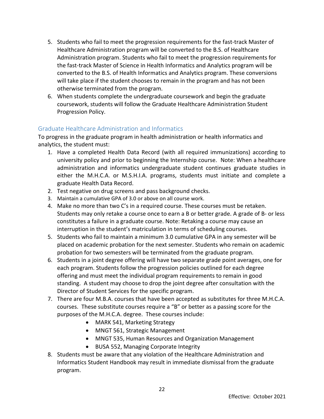- 5. Students who fail to meet the progression requirements for the fast-track Master of Healthcare Administration program will be converted to the B.S. of Healthcare Administration program. Students who fail to meet the progression requirements for the fast-track Master of Science in Health Informatics and Analytics program will be converted to the B.S. of Health Informatics and Analytics program. These conversions will take place if the student chooses to remain in the program and has not been otherwise terminated from the program.
- 6. When students complete the undergraduate coursework and begin the graduate coursework, students will follow the Graduate Healthcare Administration Student Progression Policy.

# <span id="page-21-0"></span>Graduate Healthcare Administration and Informatics

To progress in the graduate program in health administration or health informatics and analytics, the student must:

- 1. Have a completed Health Data Record (with all required immunizations) according to university policy and prior to beginning the Internship course. Note: When a healthcare administration and informatics undergraduate student continues graduate studies in either the M.H.C.A. or M.S.H.I.A. programs, students must initiate and complete a graduate Health Data Record.
- 2. Test negative on drug screens and pass background checks.
- 3. Maintain a cumulative GPA of 3.0 or above on all course work.
- 4. Make no more than two C's in a required course. These courses must be retaken. Students may only retake a course once to earn a B or better grade. A grade of B- or less constitutes a failure in a graduate course. Note: Retaking a course may cause an interruption in the student's matriculation in terms of scheduling courses.
- 5. Students who fail to maintain a minimum 3.0 cumulative GPA in any semester will be placed on academic probation for the next semester. Students who remain on academic probation for two semesters will be terminated from the graduate program.
- 6. Students in a joint degree offering will have two separate grade point averages, one for each program. Students follow the progression policies outlined for each degree offering and must meet the individual program requirements to remain in good standing. A student may choose to drop the joint degree after consultation with the Director of Student Services for the specific program.
- 7. There are four M.B.A. courses that have been accepted as substitutes for three M.H.C.A. courses. These substitute courses require a "B" or better as a passing score for the purposes of the M.H.C.A. degree. These courses include:
	- MARK 541, Marketing Strategy
	- MNGT 561, Strategic Management
	- MNGT 535, Human Resources and Organization Management
	- BUSA 552, Managing Corporate Integrity
- 8. Students must be aware that any violation of the Healthcare Administration and Informatics Student Handbook may result in immediate dismissal from the graduate program.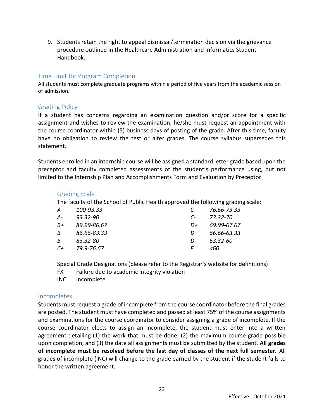9. Students retain the right to appeal dismissal/termination decision via the grievance procedure outlined in the Healthcare Administration and Informatics Student Handbook.

# <span id="page-22-0"></span>Time Limit for Program Completion

All students must complete graduate programs within a period of five years from the academic session of admission.

# <span id="page-22-1"></span>Grading Policy

If a student has concerns regarding an examination question and/or score for a specific assignment and wishes to review the examination, he/she must request an appointment with the course coordinator within (5) business days of posting of the grade. After this time, faculty have no obligation to review the test or alter grades. The course syllabus supersedes this statement.

Students enrolled in an internship course will be assigned a standard letter grade based upon the preceptor and faculty completed assessments of the student's performance using, but not limited to the Internship Plan and Accomplishments Form and Evaluation by Preceptor.

#### <span id="page-22-2"></span>Grading Scale

The faculty of the School of Public Health approved the following grading scale:

| А  | 100-93.33    |               | 76.66-73.33 |
|----|--------------|---------------|-------------|
| А- | $93.32 - 90$ | $\mathcal{C}$ | 73.32-70    |
| B+ | 89.99-86.67  | D+            | 69.99-67.67 |
| B  | 86.66-83.33  | D             | 66.66-63.33 |
| B- | 83.32-80     | D-            | 63.32-60    |
| C+ | 79.9-76.67   |               | <60         |

Special Grade Designations (please refer to the Registrar's website for definitions)

- FX Failure due to academic integrity violation
- INC Incomplete

# <span id="page-22-3"></span>Incompletes

Students must request a grade of incomplete from the course coordinator before the final grades are posted. The student must have completed and passed at least 75% of the course assignments and examinations for the course coordinator to consider assigning a grade of incomplete. If the course coordinator elects to assign an incomplete, the student must enter into a written agreement detailing (1) the work that must be done, (2) the maximum course grade possible upon completion, and (3) the date all assignments must be submitted by the student. **All grades of incomplete must be resolved before the last day of classes of the next full semester.** All grades of incomplete (INC) will change to the grade earned by the student if the student fails to honor the written agreement.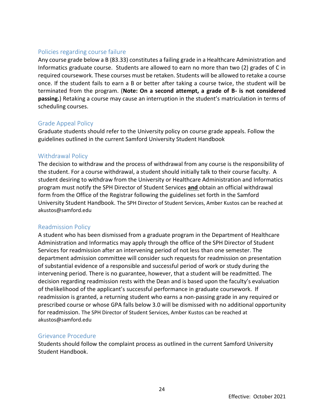# <span id="page-23-0"></span>Policies regarding course failure

Any course grade below a B (83.33) constitutes a failing grade in a Healthcare Administration and Informatics graduate course. Students are allowed to earn no more than two (2) grades of C in required coursework. These courses must be retaken. Students will be allowed to retake a course once. If the student fails to earn a B or better after taking a course twice, the student will be terminated from the program. (**Note: On a second attempt, a grade of B- is not considered passing.**) Retaking a course may cause an interruption in the student's matriculation in terms of scheduling courses.

# <span id="page-23-1"></span>Grade Appeal Policy

Graduate students should refer to the University policy on course grade appeals. Follow the guidelines outlined in the current Samford University Student Handbook

# <span id="page-23-2"></span>Withdrawal Policy

The decision to withdraw and the process of withdrawal from any course is the responsibility of the student. For a course withdrawal, a student should initially talk to their course faculty. A student desiring to withdraw from the University or Healthcare Administration and Informatics program must notify the SPH Director of Student Services **and** obtain an official withdrawal form from the Office of the Registrar following the guidelines set forth in the Samford University Student Handbook. The SPH Director of Student Services, Amber Kustos can be reached at akustos@samford.edu

#### <span id="page-23-3"></span>Readmission Policy

A student who has been dismissed from a graduate program in the Department of Healthcare Administration and Informatics may apply through the office of the SPH Director of Student Services for readmission after an intervening period of not less than one semester. The department admission committee will consider such requests for readmission on presentation of substantial evidence of a responsible and successful period of work or study during the intervening period. There is no guarantee, however, that a student will be readmitted. The decision regarding readmission rests with the Dean and is based upon the faculty's evaluation of thelikelihood of the applicant's successful performance in graduate coursework. If readmission is granted, a returning student who earns a non-passing grade in any required or prescribed course or whose GPA falls below 3.0 will be dismissed with no additional opportunity for readmission. The SPH Director of Student Services, Amber Kustos can be reached at akustos@samford.edu

#### <span id="page-23-4"></span>Grievance Procedure

Students should follow the complaint process as outlined in the current Samford University Student Handbook.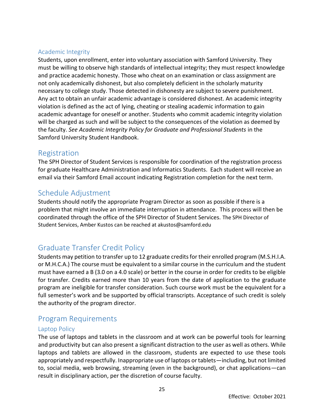# <span id="page-24-0"></span>Academic Integrity

Students, upon enrollment, enter into voluntary association with Samford University. They must be willing to observe high standards of intellectual integrity; they must respect knowledge and practice academic honesty. Those who cheat on an examination or class assignment are not only academically dishonest, but also completely deficient in the scholarly maturity necessary to college study. Those detected in dishonesty are subject to severe punishment. Any act to obtain an unfair academic advantage is considered dishonest. An academic integrity violation is defined as the act of lying, cheating or stealing academic information to gain academic advantage for oneself or another. Students who commit academic integrity violation will be charged as such and will be subject to the consequences of the violation as deemed by the faculty. *See Academic Integrity Policy for Graduate and Professional Students* in the Samford University Student Handbook.

# <span id="page-24-1"></span>Registration

The SPH Director of Student Services is responsible for coordination of the registration process for graduate Healthcare Administration and Informatics Students. Each student will receive an email via their Samford Email account indicating Registration completion for the next term.

# <span id="page-24-2"></span>Schedule Adjustment

Students should notify the appropriate Program Director as soon as possible if there is a problem that might involve an immediate interruption in attendance. This process will then be coordinated through the office of the SPH Director of Student Services. The SPH Director of Student Services, Amber Kustos can be reached at akustos@samford.edu

# <span id="page-24-3"></span>Graduate Transfer Credit Policy

Students may petition to transfer up to 12 graduate credits for their enrolled program (M.S.H.I.A. or M.H.C.A.) The course must be equivalent to a similar course in the curriculum and the student must have earned a B (3.0 on a 4.0 scale) or better in the course in order for credits to be eligible for transfer. Credits earned more than 10 years from the date of application to the graduate program are ineligible for transfer consideration. Such course work must be the equivalent for a full semester's work and be supported by official transcripts. Acceptance of such credit is solely the authority of the program director.

# <span id="page-24-4"></span>Program Requirements

# <span id="page-24-5"></span>Laptop Policy

The use of laptops and tablets in the classroom and at work can be powerful tools for learning and productivity but can also present a significant distraction to the user as well as others. While laptops and tablets are allowed in the classroom, students are expected to use these tools appropriately and respectfully. Inappropriate use of laptops or tablets—including, but not limited to, social media, web browsing, streaming (even in the background), or chat applications—can result in disciplinary action, per the discretion of course faculty.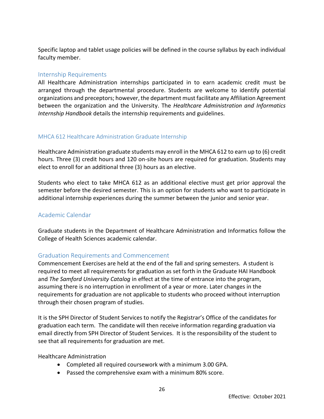Specific laptop and tablet usage policies will be defined in the course syllabus by each individual faculty member.

# <span id="page-25-0"></span>Internship Requirements

All Healthcare Administration internships participated in to earn academic credit must be arranged through the departmental procedure. Students are welcome to identify potential organizations and preceptors; however, the department must facilitate any Affiliation Agreement between the organization and the University. The *Healthcare Administration and Informatics Internship Handbook* details the internship requirements and guidelines.

# <span id="page-25-1"></span>MHCA 612 Healthcare Administration Graduate Internship

Healthcare Administration graduate students may enroll in the MHCA 612 to earn up to (6) credit hours. Three (3) credit hours and 120 on-site hours are required for graduation. Students may elect to enroll for an additional three (3) hours as an elective.

Students who elect to take MHCA 612 as an additional elective must get prior approval the semester before the desired semester. This is an option for students who want to participate in additional internship experiences during the summer between the junior and senior year.

# <span id="page-25-2"></span>Academic Calendar

Graduate students in the Department of Healthcare Administration and Informatics follow the College of Health Sciences academic calendar.

# <span id="page-25-3"></span>Graduation Requirements and Commencement

Commencement Exercises are held at the end of the fall and spring semesters. A student is required to meet all requirements for graduation as set forth in the Graduate HAI Handbook and *The Samford University Catalog* in effect at the time of entrance into the program, assuming there is no interruption in enrollment of a year or more. Later changes in the requirements for graduation are not applicable to students who proceed without interruption through their chosen program of studies.

It is the SPH Director of Student Services to notify the Registrar's Office of the candidates for graduation each term. The candidate will then receive information regarding graduation via email directly from SPH Director of Student Services. It is the responsibility of the student to see that all requirements for graduation are met.

Healthcare Administration

- Completed all required coursework with a minimum 3.00 GPA.
- Passed the comprehensive exam with a minimum 80% score.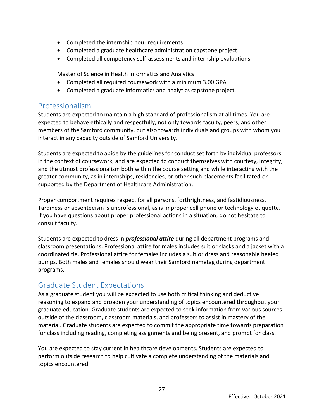- Completed the internship hour requirements.
- Completed a graduate healthcare administration capstone project.
- Completed all competency self-assessments and internship evaluations.

Master of Science in Health Informatics and Analytics

- Completed all required coursework with a minimum 3.00 GPA
- Completed a graduate informatics and analytics capstone project.

# <span id="page-26-0"></span>Professionalism

Students are expected to maintain a high standard of professionalism at all times. You are expected to behave ethically and respectfully, not only towards faculty, peers, and other members of the Samford community, but also towards individuals and groups with whom you interact in any capacity outside of Samford University.

Students are expected to abide by the guidelines for conduct set forth by individual professors in the context of coursework, and are expected to conduct themselves with courtesy, integrity, and the utmost professionalism both within the course setting and while interacting with the greater community, as in internships, residencies, or other such placements facilitated or supported by the Department of Healthcare Administration.

Proper comportment requires respect for all persons, forthrightness, and fastidiousness. Tardiness or absenteeism is unprofessional, as is improper cell phone or technology etiquette. If you have questions about proper professional actions in a situation, do not hesitate to consult faculty.

Students are expected to dress in *professional attire* during all department programs and classroom presentations. Professional attire for males includes suit or slacks and a jacket with a coordinated tie. Professional attire for females includes a suit or dress and reasonable heeled pumps. Both males and females should wear their Samford nametag during department programs.

# <span id="page-26-1"></span>Graduate Student Expectations

As a graduate student you will be expected to use both critical thinking and deductive reasoning to expand and broaden your understanding of topics encountered throughout your graduate education. Graduate students are expected to seek information from various sources outside of the classroom, classroom materials, and professors to assist in mastery of the material. Graduate students are expected to commit the appropriate time towards preparation for class including reading, completing assignments and being present, and prompt for class.

You are expected to stay current in healthcare developments. Students are expected to perform outside research to help cultivate a complete understanding of the materials and topics encountered.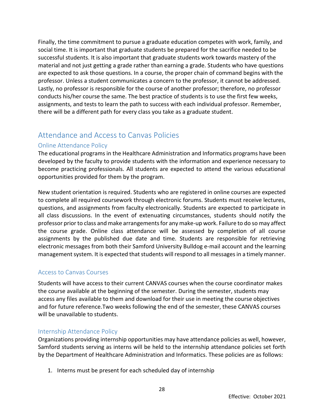Finally, the time commitment to pursue a graduate education competes with work, family, and social time. It is important that graduate students be prepared for the sacrifice needed to be successful students. It is also important that graduate students work towards mastery of the material and not just getting a grade rather than earning a grade. Students who have questions are expected to ask those questions. In a course, the proper chain of command begins with the professor. Unless a student communicates a concern to the professor, it cannot be addressed. Lastly, no professor is responsible for the course of another professor; therefore, no professor conducts his/her course the same. The best practice of students is to use the first few weeks, assignments, and tests to learn the path to success with each individual professor. Remember, there will be a different path for every class you take as a graduate student.

# <span id="page-27-0"></span>Attendance and Access to Canvas Policies

# <span id="page-27-1"></span>Online Attendance Policy

The educational programs in the Healthcare Administration and Informatics programs have been developed by the faculty to provide students with the information and experience necessary to become practicing professionals. All students are expected to attend the various educational opportunities provided for them by the program.

New student orientation is required. Students who are registered in online courses are expected to complete all required coursework through electronic forums. Students must receive lectures, questions, and assignments from faculty electronically. Students are expected to participate in all class discussions. In the event of extenuating circumstances, students should notify the professor prior to class and make arrangements for any make-up work. Failure to do so may affect the course grade. Online class attendance will be assessed by completion of all course assignments by the published due date and time. Students are responsible for retrieving electronic messages from both their Samford University Bulldog e-mail account and the learning management system. It is expected that students will respond to all messages in a timely manner.

# <span id="page-27-2"></span>Access to Canvas Courses

Students will have access to their current CANVAS courses when the course coordinator makes the course available at the beginning of the semester. During the semester, students may access any files available to them and download for their use in meeting the course objectives and for future reference.Two weeks following the end of the semester, these CANVAS courses will be unavailable to students.

# <span id="page-27-3"></span>Internship Attendance Policy

Organizations providing internship opportunities may have attendance policies as well, however, Samford students serving as interns will be held to the internship attendance policies set forth by the Department of Healthcare Administration and Informatics. These policies are as follows:

1. Interns must be present for each scheduled day of internship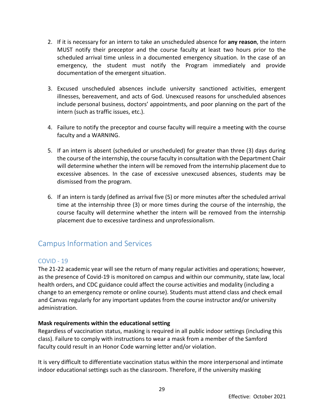- 2. If it is necessary for an intern to take an unscheduled absence for **any reason**, the intern MUST notify their preceptor and the course faculty at least two hours prior to the scheduled arrival time unless in a documented emergency situation. In the case of an emergency, the student must notify the Program immediately and provide documentation of the emergent situation.
- 3. Excused unscheduled absences include university sanctioned activities, emergent illnesses, bereavement, and acts of God. Unexcused reasons for unscheduled absences include personal business, doctors' appointments, and poor planning on the part of the intern (such as traffic issues, etc.).
- 4. Failure to notify the preceptor and course faculty will require a meeting with the course faculty and a WARNING.
- 5. If an intern is absent (scheduled or unscheduled) for greater than three (3) days during the course of the internship, the course faculty in consultation with the Department Chair will determine whether the intern will be removed from the internship placement due to excessive absences. In the case of excessive unexcused absences, students may be dismissed from the program.
- 6. If an intern is tardy (defined as arrival five (5) or more minutes after the scheduled arrival time at the internship three (3) or more times during the course of the internship, the course faculty will determine whether the intern will be removed from the internship placement due to excessive tardiness and unprofessionalism.

# <span id="page-28-0"></span>Campus Information and Services

# <span id="page-28-1"></span>COVID - 19

The 21-22 academic year will see the return of many regular activities and operations; however, as the presence of Covid-19 is monitored on campus and within our community, state law, local health orders, and CDC guidance could affect the course activities and modality (including a change to an emergency remote or online course). Students must attend class and check email and Canvas regularly for any important updates from the course instructor and/or university administration.

#### **Mask requirements within the educational setting**

Regardless of vaccination status, masking is required in all public indoor settings (including this class). Failure to comply with instructions to wear a mask from a member of the Samford faculty could result in an Honor Code warning letter and/or violation.

It is very difficult to differentiate vaccination status within the more interpersonal and intimate indoor educational settings such as the classroom. Therefore, if the university masking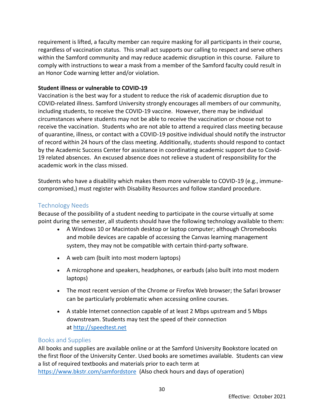requirement is lifted, a faculty member can require masking for all participants in their course, regardless of vaccination status. This small act supports our calling to respect and serve others within the Samford community and may reduce academic disruption in this course. Failure to comply with instructions to wear a mask from a member of the Samford faculty could result in an Honor Code warning letter and/or violation.

# **Student illness or vulnerable to COVID-19**

Vaccination is the best way for a student to reduce the risk of academic disruption due to COVID-related illness. Samford University strongly encourages all members of our community, including students, to receive the COVID-19 vaccine. However, there may be individual circumstances where students may not be able to receive the vaccination or choose not to receive the vaccination. Students who are not able to attend a required class meeting because of quarantine, illness, or contact with a COVID-19 positive individual should notify the instructor of record within 24 hours of the class meeting. Additionally, students should respond to contact by the Academic Success Center for assistance in coordinating academic support due to Covid-19 related absences. An excused absence does not relieve a student of responsibility for the academic work in the class missed.

Students who have a disability which makes them more vulnerable to COVID-19 (e.g., immunecompromised,) must register with Disability Resources and follow standard procedure.

# <span id="page-29-0"></span>Technology Needs

Because of the possibility of a student needing to participate in the course virtually at some point during the semester, all students should have the following technology available to them:

- A Windows 10 or Macintosh desktop or laptop computer; although Chromebooks and mobile devices are capable of accessing the Canvas learning management system, they may not be compatible with certain third-party software.
- A web cam (built into most modern laptops)
- A microphone and speakers, headphones, or earbuds (also built into most modern laptops)
- The most recent version of the Chrome or Firefox Web browser; the Safari browser can be particularly problematic when accessing online courses.
- A stable Internet connection capable of at least 2 Mbps upstream and 5 Mbps downstream. Students may test the speed of their connection at [http://speedtest.net](http://speedtest.net/)

# <span id="page-29-1"></span>Books and Supplies

All books and supplies are available online or at the Samford University Bookstore located on the first floor of the University Center. Used books are sometimes available. Students can view a list of required textbooks and materials prior to each term at <https://www.bkstr.com/samfordstore>(Also check hours and days of operation)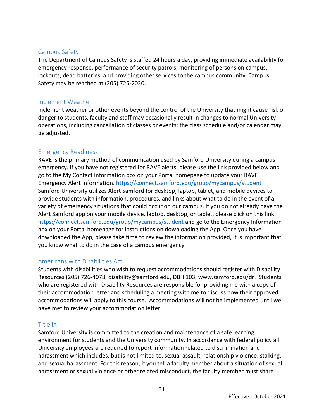# <span id="page-30-0"></span>Campus Safety

The Department of Campus Safety is staffed 24 hours a day, providing immediate availability for emergency response, performance of security patrols, monitoring of persons on campus, lockouts, dead batteries, and providing other services to the campus community. Campus Safety may be reached at (205) 726-2020.

# <span id="page-30-1"></span>Inclement Weather

Inclement weather or other events beyond the control of the University that might cause risk or danger to students, faculty and staff may occasionally result in changes to normal University operations, including cancellation of classes or events; the class schedule and/or calendar may be adjusted.

# <span id="page-30-2"></span>Emergency Readiness

RAVE is the primary method of communication used by Samford University during a campus emergency. If you have not registered for RAVE alerts, please use the link provided below and go to the My Contact Information box on your Portal homepage to update your RAVE Emergency Alert Information.<https://connect.samford.edu/group/mycampus/student> Samford University utilizes Alert Samford for desktop, laptop, tablet, and mobile devices to provide students with information, procedures, and links about what to do in the event of a variety of emergency situations that could occur on our campus. If you do not already have the Alert Samford app on your mobile device, laptop, desktop, or tablet, please click on this link <https://connect.samford.edu/group/mycampus/student> and go to the Emergency Information box on your Portal homepage for instructions on downloading the App. Once you have downloaded the App, please take time to review the information provided, it is important that you know what to do in the case of a campus emergency.

# <span id="page-30-3"></span>Americans with Disabilities Act

Students with disabilities who wish to request accommodations should register with Disability Resources (205) 726-4078, disability@samford.edu, DBH 103, www.samford.edu/dr. Students who are registered with Disability Resources are responsible for providing me with a copy of their accommodation letter and scheduling a meeting with me to discuss how their approved accommodations will apply to this course. Accommodations will not be implemented until we have met to review your accommodation letter.

# <span id="page-30-4"></span>Title IX

Samford University is committed to the creation and maintenance of a safe learning environment for students and the University community. In accordance with federal policy all University employees are required to report information related to discrimination and harassment which includes, but is not limited to, sexual assault, relationship violence, stalking, and sexual harassment. For this reason, if you tell a faculty member about a situation of sexual harassment or sexual violence or other related misconduct, the faculty member must share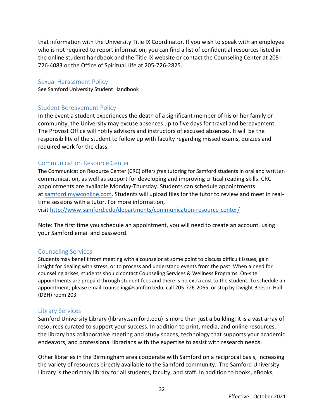that information with the University Title IX Coordinator. If you wish to speak with an employee who is not required to report information, you can find a list of confidential resources listed in the online student handbook and the Title IX website or contact the Counseling Center at 205- 726-4083 or the Office of Spiritual Life at 205-726-2825.

#### <span id="page-31-0"></span>Sexual Harassment Policy

<span id="page-31-1"></span>See Samford University Student Handbook

#### Student Bereavement Policy

In the event a student experiences the death of a significant member of his or her family or community, the University may excuse absences up to five days for travel and bereavement. The Provost Office will notify advisors and instructors of excused absences. It will be the responsibility of the student to follow up with faculty regarding missed exams, quizzes and required work for the class.

#### <span id="page-31-2"></span>Communication Resource Center

The Communication Resource Center (CRC) offers *free* tutoring for Samford students in oral and written communication, as well as support for developing and improving critical reading skills. CRC appointments are available Monday-Thursday. Students can schedule appointments at [samford.mywconline.com.](https://samford.mywconline.com/) Students will upload files for the tutor to review and meet in realtime sessions with a tutor. For more information,

visit <http://www.samford.edu/departments/communication-resource-center/>

Note: The first time you schedule an appointment, you will need to create an account, using your Samford email and password.

#### <span id="page-31-3"></span>Counseling Services

Students may benefit from meeting with a counselor at some point to discuss difficult issues, gain insight for dealing with stress, or to process and understand events from the past. When a need for counseling arises, students should contact Counseling Services & Wellness Programs. On-site appointments are prepaid through student fees and there is no extra cost to the student. To schedule an appointment, please email counseling@samford.edu, call 205-726-2065, or stop by Dwight Beeson Hall (DBH) room 203.

#### <span id="page-31-4"></span>Library Services

Samford University Library (library.samford.edu) is more than just a building; it is a vast array of resources curated to support your success. In addition to print, media, and online resources, the library has collaborative meeting and study spaces, technology that supports your academic endeavors, and professional librarians with the expertise to assist with research needs.

Other libraries in the Birmingham area cooperate with Samford on a reciprocal basis, increasing the variety of resources directly available to the Samford community. The Samford University Library is theprimary library for all students, faculty, and staff. In addition to books, eBooks,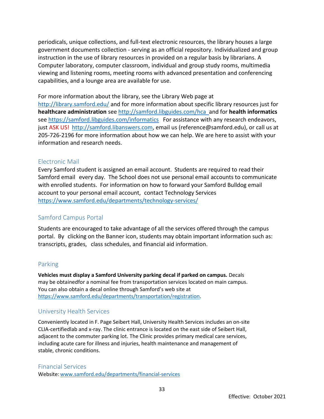periodicals, unique collections, and full-text electronic resources, the library houses a large government documents collection - serving as an official repository. Individualized and group instruction in the use of library resources in provided on a regular basis by librarians. A Computer laboratory, computer classroom, individual and group study rooms, multimedia viewing and listening rooms, meeting rooms with advanced presentation and conferencing capabilities, and a lounge area are available for use.

For more information about the library, see the Library Web page at

<http://library.samford.edu/> and for more information about specific library resources just for **healthcare administration** se[e http://samford.libguides.com/hca and for](http://samford.libguides.com/hca%20%20and%20for%20health%20informatics%20see%20https:/samford.libguides.com/informatics) **health informatics** [see https://samford.libguides.com/informatics F](http://samford.libguides.com/hca%20%20and%20for%20health%20informatics%20see%20https:/samford.libguides.com/informatics)or assistance with any research endeavors, just ASK US! [http://samford.libanswers.com,](http://samford.libanswers.com/) email us (reference@samford.edu), or call us at 205-726-2196 for more information about how we can help. We are here to assist with your information and research needs.

# <span id="page-32-0"></span>Electronic Mail

Every Samford student is assigned an email account. Students are required to read their Samford email every day. The School does not use personal email accounts to communicate with enrolled students. For information on how to forward your Samford Bulldog email account to your personal email account, contact Technology Services <https://www.samford.edu/departments/technology-services/>

# <span id="page-32-1"></span>Samford Campus Portal

Students are encouraged to take advantage of all the services offered through the campus portal. By clicking on the Banner icon, students may obtain important information such as: transcripts, grades, class schedules, and financial aid information.

# <span id="page-32-2"></span>Parking

**Vehicles must display a Samford University parking decal if parked on campus.** Decals may be obtainedfor a nominal fee from transportation services located on main campus. You can also obtain a decal online through Samford's web site at https:/[/www.samford.edu/departments/transportation/registration.](http://www.samford.edu/departments/transportation/registration)

# <span id="page-32-3"></span>University Health Services

Conveniently located in F. Page Seibert Hall, University Health Services includes an on-site CLIA-certifiedlab and x-ray. The clinic entrance is located on the east side of Seibert Hall, adjacent to the commuter parking lot. The Clinic provides primary medical care services, including acute care for illness and injuries, health maintenance and management of stable, chronic conditions.

<span id="page-32-4"></span>Financial Services Website: [www.samford.edu/departments/financial-services](http://www.samford.edu/departments/financial-services)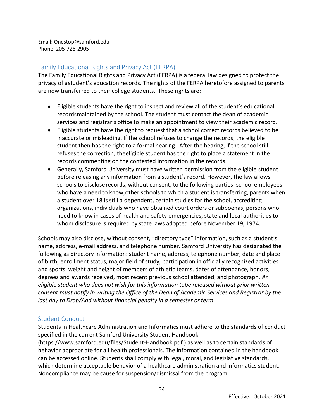Email: [Onestop@samford.edu](mailto:Onestop@samford.edu) Phone: 205-726-2905

# <span id="page-33-0"></span>Family Educational Rights and Privacy Act (FERPA)

The Family Educational Rights and Privacy Act (FERPA) is a federal law designed to protect the privacy of astudent's education records. The rights of the FERPA heretofore assigned to parents are now transferred to their college students. These rights are:

- Eligible students have the right to inspect and review all of the student's educational recordsmaintained by the school. The student must contact the dean of academic services and registrar's office to make an appointment to view their academic record.
- Eligible students have the right to request that a school correct records believed to be inaccurate or misleading. If the school refuses to change the records, the eligible student then has the right to a formal hearing. After the hearing, if the school still refuses the correction, theeligible student has the right to place a statement in the records commenting on the contested information in the records.
- Generally, Samford University must have written permission from the eligible student before releasing any information from a student's record. However, the law allows schools to disclose records, without consent, to the following parties: school employees who have a need to know,other schools to which a student is transferring, parents when a student over 18 is still a dependent, certain studies for the school, accrediting organizations, individuals who have obtained court orders or subpoenas, persons who need to know in cases of health and safety emergencies, state and local authorities to whom disclosure is required by state laws adopted before November 19, 1974.

Schools may also disclose, without consent, "directory type" information, such as a student's name, address, e-mail address, and telephone number. Samford University has designated the following as directory information: student name, address, telephone number, date and place of birth, enrollment status, major field of study, participation in officially recognized activities and sports, weight and height of members of athletic teams, dates of attendance, honors, degrees and awards received, most recent previous school attended, and photograph. *An eligible student who does not wish for this information tobe released without prior written consent must notify in writing the Office of the Dean of Academic Services and Registrar by the last day to Drop/Add without financial penalty in a semester or term*

# <span id="page-33-1"></span>Student Conduct

Students in Healthcare Administration and Informatics must adhere to the standards of conduct specified in the current Samford University Student Handbook

(https:/[/www.samford.edu/files/Student-Handbook.pdf \)](http://www.samford.edu/files/Student-Handbook.pdf) as well as to certain standards of behavior appropriate for all health professionals. The information contained in the handbook can be accessed online. Students shall comply with legal, moral, and legislative standards, which determine acceptable behavior of a healthcare administration and informatics student. Noncompliance may be cause for suspension/dismissal from the program.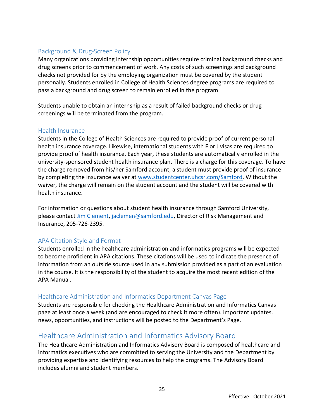# <span id="page-34-0"></span>Background & Drug-Screen Policy

Many organizations providing internship opportunities require criminal background checks and drug screens prior to commencement of work. Any costs of such screenings and background checks not provided for by the employing organization must be covered by the student personally. Students enrolled in College of Health Sciences degree programs are required to pass a background and drug screen to remain enrolled in the program.

Students unable to obtain an internship as a result of failed background checks or drug screenings will be terminated from the program.

# <span id="page-34-1"></span>Health Insurance

Students in the College of Health Sciences are required to provide proof of current personal health insurance coverage. Likewise, international students with F or J visas are required to provide proof of health insurance. Each year, these students are automatically enrolled in the university-sponsored student health insurance plan. There is a charge for this coverage. To have the charge removed from his/her Samford account, a student must provide proof of insurance by completing the insurance waiver at [www.studentcenter.uhcsr.com/Samford.](file:///D:/Healthcare%20Administration/Student%20Handbooks/Department/www.studentcenter.uhcsr.com/Samford) Without the waiver, the charge will remain on the student account and the student will be covered with health insurance.

For information or questions about student health insurance through Samford University, please contact [Jim Clement,](mailto:jaclemen@samford.edu) [jaclemen@samford.edu,](mailto:jaclemen@samford.edu) Director of Risk Management and Insurance, 205-726-2395.

# <span id="page-34-2"></span>APA Citation Style and Format

Students enrolled in the healthcare administration and informatics programs will be expected to become proficient in APA citations. These citations will be used to indicate the presence of information from an outside source used in any submission provided as a part of an evaluation in the course. It is the responsibility of the student to acquire the most recent edition of the APA Manual.

# <span id="page-34-3"></span>Healthcare Administration and Informatics Department Canvas Page

Students are responsible for checking the Healthcare Administration and Informatics Canvas page at least once a week (and are encouraged to check it more often). Important updates, news, opportunities, and instructions will be posted to the Department's Page.

# <span id="page-34-4"></span>Healthcare Administration and Informatics Advisory Board

The Healthcare Administration and Informatics Advisory Board is composed of healthcare and informatics executives who are committed to serving the University and the Department by providing expertise and identifying resources to help the programs. The Advisory Board includes alumni and student members.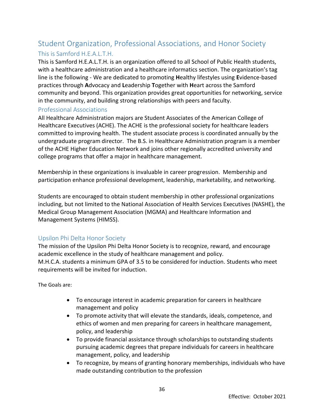# <span id="page-35-1"></span><span id="page-35-0"></span>Student Organization, Professional Associations, and Honor Society This is Samford H.E.A.L.T.H.

This is Samford H.E.A.L.T.H. is an organization offered to all School of Public Health students, with a healthcare administration and a healthcare informatics section. The organization's tag line is the following - We are dedicated to promoting **H**ealthy lifestyles using **E**vidence-based practices through **A**dvocacy and **L**eadership **T**ogether with **H**eart across the Samford community and beyond. This organization provides great opportunities for networking, service in the community, and building strong relationships with peers and faculty.

# <span id="page-35-2"></span>Professional Associations

All Healthcare Administration majors are Student Associates of the American College of Healthcare Executives (ACHE). The ACHE is the professional society for healthcare leaders committed to improving health. The student associate process is coordinated annually by the undergraduate program director. The B.S. in Healthcare Administration program is a member of the ACHE Higher Education Network and joins other regionally accredited university and college programs that offer a major in healthcare management.

Membership in these organizations is invaluable in career progression. Membership and participation enhance professional development, leadership, marketability, and networking.

Students are encouraged to obtain student membership in other professional organizations including, but not limited to the National Association of Health Services Executives (NASHE), the Medical Group Management Association (MGMA) and Healthcare Information and Management Systems (HIMSS).

# <span id="page-35-3"></span>Upsilon Phi Delta Honor Society

The mission of the Upsilon Phi Delta Honor Society is to recognize, reward, and encourage academic excellence in the study of healthcare management and policy. M.H.C.A. students a minimum GPA of 3.5 to be considered for induction. Students who meet requirements will be invited for induction.

The Goals are:

- To encourage interest in academic preparation for careers in healthcare management and policy
- To promote activity that will elevate the standards, ideals, competence, and ethics of women and men preparing for careers in healthcare management, policy, and leadership
- To provide financial assistance through scholarships to outstanding students pursuing academic degrees that prepare individuals for careers in healthcare management, policy, and leadership
- To recognize, by means of granting honorary memberships, individuals who have made outstanding contribution to the profession